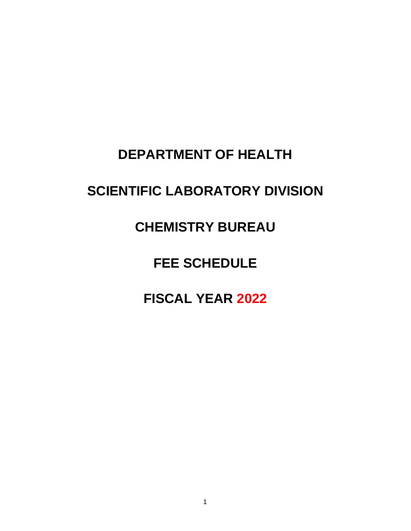## **DEPARTMENT OF HEALTH**

# **SCIENTIFIC LABORATORY DIVISION**

## **CHEMISTRY BUREAU**

# **FEE SCHEDULE**

# **FISCAL YEAR 2022**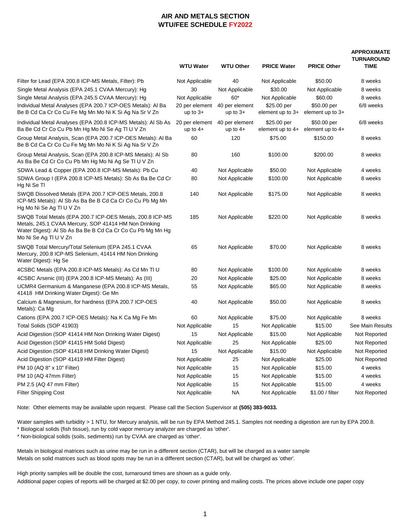### **AIR AND METALS SECTION WTU/FEE SCHEDULE FY2022**

#### **APPROXIMATE TURNAROUND**

|                                                                                                                                                                                                           | <b>WTU Water</b>                            | <b>WTU Other</b>             | <b>PRICE Water</b>                | <b>PRICE Other</b>                | טומאוטו<br><b>TIME</b> |
|-----------------------------------------------------------------------------------------------------------------------------------------------------------------------------------------------------------|---------------------------------------------|------------------------------|-----------------------------------|-----------------------------------|------------------------|
| Filter for Lead (EPA 200.8 ICP-MS Metals, Filter): Pb                                                                                                                                                     | Not Applicable                              | 40                           | Not Applicable                    | \$50.00                           | 8 weeks                |
| Single Metal Analysis (EPA 245.1 CVAA Mercury): Hg                                                                                                                                                        | 30                                          | Not Applicable               | \$30.00                           | Not Applicable                    | 8 weeks                |
| Single Metal Analysis (EPA 245.5 CVAA Mercury): Hg                                                                                                                                                        | Not Applicable                              | 60*                          | Not Applicable                    | \$60.00                           | 8 weeks                |
| Individual Metal Analyses (EPA 200.7 ICP-OES Metals): Al Ba<br>Be B Cd Ca Cr Co Cu Fe Mg Mn Mo Ni K Si Ag Na Sr V Zn                                                                                      | 20 per element<br>up to $3+$                | 40 per element<br>up to $3+$ | \$25.00 per<br>element up to $3+$ | \$50.00 per<br>element up to $3+$ | 6/8 weeks              |
| Individual Metal Analyses (EPA 200.8 ICP-MS Metals): Al Sb As<br>Ba Be Cd Cr Co Cu Pb Mn Hg Mo Ni Se Ag Tl U V Zn                                                                                         | 20 per element 40 per element<br>up to $4+$ | up to $4+$                   | \$25.00 per<br>element up to $4+$ | \$50.00 per<br>element up to $4+$ | 6/8 weeks              |
| Group Metal Analysis, Scan (EPA 200.7 ICP-OES Metals): Al Ba<br>Be B Cd Ca Cr Co Cu Fe Mg Mn Mo Ni K Si Ag Na Sr V Zn                                                                                     | 60                                          | 120                          | \$75.00                           | \$150.00                          | 8 weeks                |
| Group Metal Analysis, Scan (EPA 200.8 ICP-MS Metals): Al Sb<br>As Ba Be Cd Cr Co Cu Pb Mn Hg Mo Ni Ag Se Tl U V Zn                                                                                        | 80                                          | 160                          | \$100.00                          | \$200.00                          | 8 weeks                |
| SDWA Lead & Copper (EPA 200.8 ICP-MS Metals): Pb Cu                                                                                                                                                       | 40                                          | Not Applicable               | \$50.00                           | Not Applicable                    | 4 weeks                |
| SDWA Group I (EPA 200.8 ICP-MS Metals): Sb As Ba Be Cd Cr<br>Hg Ni Se TI                                                                                                                                  | 80                                          | Not Applicable               | \$100.00                          | Not Applicable                    | 8 weeks                |
| SWQB Dissolved Metals (EPA 200.7 ICP-OES Metals, 200.8<br>ICP-MS Metals): Al Sb As Ba Be B Cd Ca Cr Co Cu Pb Mg Mn<br>Hg Mo Ni Se Ag TI U V Zn                                                            | 140                                         | Not Applicable               | \$175.00                          | Not Applicable                    | 8 weeks                |
| SWQB Total Metals (EPA 200.7 ICP-OES Metals, 200.8 ICP-MS<br>Metals, 245.1 CVAA Mercury, SOP 41414 HM Non Drinking<br>Water Digest): Al Sb As Ba Be B Cd Ca Cr Co Cu Pb Mg Mn Hg<br>Mo Ni Se Ag TI U V Zn | 185                                         | Not Applicable               | \$220.00                          | Not Applicable                    | 8 weeks                |
| SWQB Total Mercury/Total Selenium (EPA 245.1 CVAA<br>Mercury, 200.8 ICP-MS Selenium, 41414 HM Non Drinking<br>Water Digest): Hg Se                                                                        | 65                                          | Not Applicable               | \$70.00                           | Not Applicable                    | 8 weeks                |
| 4CSBC Metals (EPA 200.8 ICP-MS Metals): As Cd Mn TI U                                                                                                                                                     | 80                                          | Not Applicable               | \$100.00                          | Not Applicable                    | 8 weeks                |
| 4CSBC Arsenic (III) (EPA 200.8 ICP-MS Metals): As (III)                                                                                                                                                   | 20                                          | Not Applicable               | \$25.00                           | Not Applicable                    | 8 weeks                |
| UCMR4 Germanium & Manganese (EPA 200.8 ICP-MS Metals,<br>41418 HM Drinking Water Digest): Ge Mn                                                                                                           | 55                                          | Not Applicable               | \$65.00                           | Not Applicable                    | 8 weeks                |
| Calcium & Magnesium, for hardness (EPA 200.7 ICP-OES<br>Metals): Ca Mg                                                                                                                                    | 40                                          | Not Applicable               | \$50.00                           | Not Applicable                    | 8 weeks                |
| Cations (EPA 200.7 ICP-OES Metals): Na K Ca Mg Fe Mn                                                                                                                                                      | 60                                          | Not Applicable               | \$75.00                           | Not Applicable                    | 8 weeks                |
| Total Solids (SOP 41903)                                                                                                                                                                                  | Not Applicable                              | 15                           | Not Applicable                    | \$15.00                           | See Main Results       |
| Acid Digestion (SOP 41414 HM Non Drinking Water Digest)                                                                                                                                                   | 15                                          | Not Applicable               | \$15.00                           | Not Applicable                    | Not Reported           |
| Acid Digestion (SOP 41415 HM Solid Digest)                                                                                                                                                                | Not Applicable                              | 25                           | Not Applicable                    | \$25.00                           | Not Reported           |
| Acid Digestion (SOP 41418 HM Drinking Water Digest)                                                                                                                                                       | 15                                          | Not Applicable               | \$15.00                           | Not Applicable                    | Not Reported           |
| Acid Digestion (SOP 41419 HM Filter Digest)                                                                                                                                                               | Not Applicable                              | 25                           | Not Applicable                    | \$25.00                           | Not Reported           |
| PM 10 (AQ 8" x 10" Filter)                                                                                                                                                                                | Not Applicable                              | 15                           | Not Applicable                    | \$15.00                           | 4 weeks                |
| PM 10 (AQ 47mm Filter)                                                                                                                                                                                    | Not Applicable                              | 15                           | Not Applicable                    | \$15.00                           | 4 weeks                |
| PM 2.5 (AQ 47 mm Filter)                                                                                                                                                                                  | Not Applicable                              | 15                           | Not Applicable                    | \$15.00                           | 4 weeks                |
| <b>Filter Shipping Cost</b>                                                                                                                                                                               | Not Applicable                              | <b>NA</b>                    | Not Applicable                    | \$1.00 / filter                   | Not Reported           |

Note: Other elements may be available upon request. Please call the Section Supervisor at **(505) 383-9033.**

Water samples with turbidity > 1 NTU, for Mercury analysis, will be run by EPA Method 245.1. Samples not needing a digestion are run by EPA 200.8. \* Biological solids (fish tissue), run by cold vapor mercury analyzer are charged as 'other'.

\* Non-biological solids (soils, sediments) run by CVAA are charged as 'other'.

Metals in biological matrices such as urine may be run in a different section (CTAR), but will be charged as a water sample Metals on solid matrices such as blood spots may be run in a different section (CTAR), but will be charged as 'other'.

High priority samples will be double the cost, turnaround times are shown as a guide only.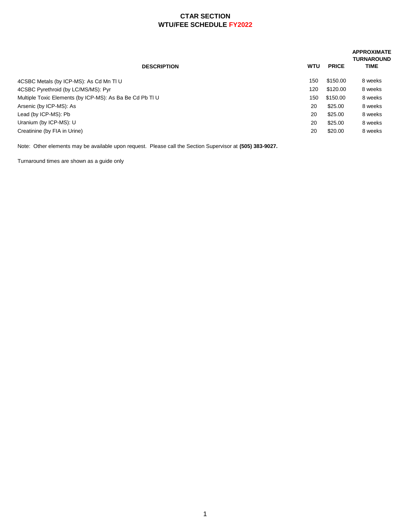### **CTAR SECTION WTU/FEE SCHEDULE FY2022**

| <b>DESCRIPTION</b>                                       | <b>WTU</b> | <b>PRICE</b> | <b>APPROXIMATE</b><br><b>TURNAROUND</b><br><b>TIME</b> |
|----------------------------------------------------------|------------|--------------|--------------------------------------------------------|
| 4CSBC Metals (by ICP-MS): As Cd Mn Tl U                  | 150        | \$150.00     | 8 weeks                                                |
| 4CSBC Pyrethroid (by LC/MS/MS): Pyr                      | 120        | \$120.00     | 8 weeks                                                |
| Multiple Toxic Elements (by ICP-MS): As Ba Be Cd Pb Tl U | 150        | \$150.00     | 8 weeks                                                |
| Arsenic (by ICP-MS): As                                  | 20         | \$25.00      | 8 weeks                                                |
| Lead (by ICP-MS): Pb                                     | 20         | \$25.00      | 8 weeks                                                |
| Uranium (by ICP-MS): U                                   | 20         | \$25.00      | 8 weeks                                                |
| Creatinine (by FIA in Urine)                             | 20         | \$20.00      | 8 weeks                                                |
|                                                          |            |              |                                                        |

Note: Other elements may be available upon request. Please call the Section Supervisor at **(505) 383-9027.**

Turnaround times are shown as a guide only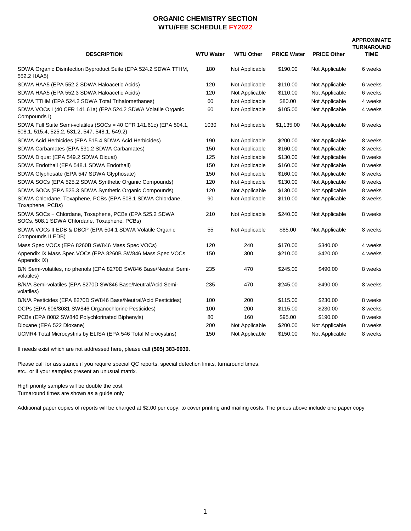### **ORGANIC CHEMISTRY SECTION WTU/FEE SCHEDULE FY2022**

#### **APPROXIMATE TURNAROUND**

|                                                                                                                      |                  |                  |                    |                    | <b>TURNAROUN</b> |
|----------------------------------------------------------------------------------------------------------------------|------------------|------------------|--------------------|--------------------|------------------|
| <b>DESCRIPTION</b>                                                                                                   | <b>WTU Water</b> | <b>WTU Other</b> | <b>PRICE Water</b> | <b>PRICE Other</b> | <b>TIME</b>      |
| SDWA Organic Disinfection Byproduct Suite (EPA 524.2 SDWA TTHM,<br>552.2 HAA5)                                       | 180              | Not Applicable   | \$190.00           | Not Applicable     | 6 weeks          |
| SDWA HAA5 (EPA 552.2 SDWA Haloacetic Acids)                                                                          | 120              | Not Applicable   | \$110.00           | Not Applicable     | 6 weeks          |
| SDWA HAA5 (EPA 552.3 SDWA Haloacetic Acids)                                                                          | 120              | Not Applicable   | \$110.00           | Not Applicable     | 6 weeks          |
| SDWA TTHM (EPA 524.2 SDWA Total Trihalomethanes)                                                                     | 60               | Not Applicable   | \$80.00            | Not Applicable     | 4 weeks          |
| SDWA VOCs I (40 CFR 141.61a) (EPA 524.2 SDWA Volatile Organic<br>Compounds I)                                        | 60               | Not Applicable   | \$105.00           | Not Applicable     | 4 weeks          |
| SDWA Full Suite Semi-volatiles (SOCs = 40 CFR 141.61c) (EPA 504.1,<br>508.1, 515.4, 525.2, 531.2, 547, 548.1, 549.2) | 1030             | Not Applicable   | \$1,135.00         | Not Applicable     | 8 weeks          |
| SDWA Acid Herbicides (EPA 515.4 SDWA Acid Herbicides)                                                                | 190              | Not Applicable   | \$200.00           | Not Applicable     | 8 weeks          |
| SDWA Carbamates (EPA 531.2 SDWA Carbamates)                                                                          | 150              | Not Applicable   | \$160.00           | Not Applicable     | 8 weeks          |
| SDWA Diquat (EPA 549.2 SDWA Diquat)                                                                                  | 125              | Not Applicable   | \$130.00           | Not Applicable     | 8 weeks          |
| SDWA Endothall (EPA 548.1 SDWA Endothall)                                                                            | 150              | Not Applicable   | \$160.00           | Not Applicable     | 8 weeks          |
| SDWA Glyphosate (EPA 547 SDWA Glyphosate)                                                                            | 150              | Not Applicable   | \$160.00           | Not Applicable     | 8 weeks          |
| SDWA SOCs (EPA 525.2 SDWA Synthetic Organic Compounds)                                                               | 120              | Not Applicable   | \$130.00           | Not Applicable     | 8 weeks          |
| SDWA SOCs (EPA 525.3 SDWA Synthetic Organic Compounds)                                                               | 120              | Not Applicable   | \$130.00           | Not Applicable     | 8 weeks          |
| SDWA Chlordane, Toxaphene, PCBs (EPA 508.1 SDWA Chlordane,<br>Toxaphene, PCBs)                                       | 90               | Not Applicable   | \$110.00           | Not Applicable     | 8 weeks          |
| SDWA SOCs + Chlordane, Toxaphene, PCBs (EPA 525.2 SDWA<br>SOCs, 508.1 SDWA Chlordane, Toxaphene, PCBs)               | 210              | Not Applicable   | \$240.00           | Not Applicable     | 8 weeks          |
| SDWA VOCs II EDB & DBCP (EPA 504.1 SDWA Volatile Organic<br>Compounds II EDB)                                        | 55               | Not Applicable   | \$85.00            | Not Applicable     | 8 weeks          |
| Mass Spec VOCs (EPA 8260B SW846 Mass Spec VOCs)                                                                      | 120              | 240              | \$170.00           | \$340.00           | 4 weeks          |
| Appendix IX Mass Spec VOCs (EPA 8260B SW846 Mass Spec VOCs<br>Appendix IX)                                           | 150              | 300              | \$210.00           | \$420.00           | 4 weeks          |
| B/N Semi-volatiles, no phenols (EPA 8270D SW846 Base/Neutral Semi-<br>volatiles)                                     | 235              | 470              | \$245.00           | \$490.00           | 8 weeks          |
| B/N/A Semi-volatiles (EPA 8270D SW846 Base/Neutral/Acid Semi-<br>volatiles)                                          | 235              | 470              | \$245.00           | \$490.00           | 8 weeks          |
| B/N/A Pesticides (EPA 8270D SW846 Base/Neutral/Acid Pesticides)                                                      | 100              | 200              | \$115.00           | \$230.00           | 8 weeks          |
| OCPs (EPA 608/8081 SW846 Organochlorine Pesticides)                                                                  | 100              | 200              | \$115.00           | \$230.00           | 8 weeks          |
| PCBs (EPA 8082 SW846 Polychlorinated Biphenyls)                                                                      | 80               | 160              | \$95.00            | \$190.00           | 8 weeks          |
| Dioxane (EPA 522 Dioxane)                                                                                            | 200              | Not Applicable   | \$200.00           | Not Applicable     | 8 weeks          |
| UCMR4 Total Microcystins by ELISA (EPA 546 Total Microcystins)                                                       | 150              | Not Applicable   | \$150.00           | Not Applicable     | 8 weeks          |

If needs exist which are not addressed here, please call **(505) 383-9030.**

Please call for assistance if you require special QC reports, special detection limits, turnaround times, etc., or if your samples present an unusual matrix.

High priority samples will be double the cost Turnaround times are shown as a guide only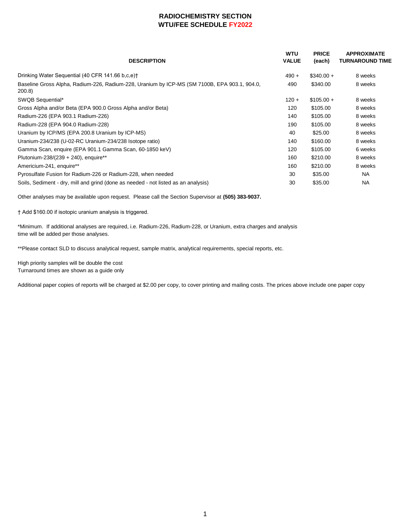### **RADIOCHEMISTRY SECTION WTU/FEE SCHEDULE FY2022**

| <b>DESCRIPTION</b>                                                                                     | <b>WTU</b><br><b>VALUE</b> | <b>PRICE</b><br>(each) | <b>APPROXIMATE</b><br><b>TURNAROUND TIME</b> |
|--------------------------------------------------------------------------------------------------------|----------------------------|------------------------|----------------------------------------------|
| Drinking Water Sequential (40 CFR 141.66 b.c.e) <sup>+</sup>                                           | $490 +$                    | $$340.00 +$            | 8 weeks                                      |
| Baseline Gross Alpha, Radium-226, Radium-228, Uranium by ICP-MS (SM 7100B, EPA 903.1, 904.0,<br>200.8) | 490                        | \$340.00               | 8 weeks                                      |
| SWQB Sequential*                                                                                       | $120 +$                    | $$105.00 +$            | 8 weeks                                      |
| Gross Alpha and/or Beta (EPA 900.0 Gross Alpha and/or Beta)                                            | 120                        | \$105.00               | 8 weeks                                      |
| Radium-226 (EPA 903.1 Radium-226)                                                                      | 140                        | \$105.00               | 8 weeks                                      |
| Radium-228 (EPA 904.0 Radium-228)                                                                      | 190                        | \$105.00               | 8 weeks                                      |
| Uranium by ICP/MS (EPA 200.8 Uranium by ICP-MS)                                                        | 40                         | \$25.00                | 8 weeks                                      |
| Uranium-234/238 (U-02-RC Uranium-234/238 Isotope ratio)                                                | 140                        | \$160.00               | 8 weeks                                      |
| Gamma Scan, enquire (EPA 901.1 Gamma Scan, 60-1850 keV)                                                | 120                        | \$105.00               | 6 weeks                                      |
| Plutonium-238/(239 + 240), enquire**                                                                   | 160                        | \$210.00               | 8 weeks                                      |
| Americium-241, enquire**                                                                               | 160                        | \$210.00               | 8 weeks                                      |
| Pyrosulfate Fusion for Radium-226 or Radium-228, when needed                                           | 30                         | \$35.00                | <b>NA</b>                                    |
| Soils, Sediment - dry, mill and grind (done as needed - not listed as an analysis)                     | 30                         | \$35.00                | <b>NA</b>                                    |

Other analyses may be available upon request. Please call the Section Supervisor at **(505) 383-9037.**

† Add \$160.00 if isotopic uranium analysis is triggered.

\*Minimum. If additional analyses are required, i.e. Radium-226, Radium-228, or Uranium, extra charges and analysis time will be added per those analyses.

\*\*Please contact SLD to discuss analytical request, sample matrix, analytical requirements, special reports, etc.

High priority samples will be double the cost Turnaround times are shown as a guide only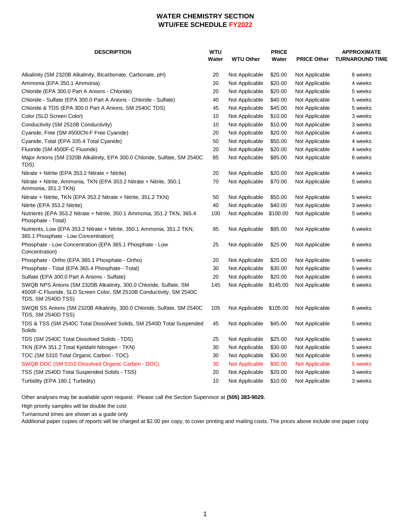### **WATER CHEMISTRY SECTION WTU/FEE SCHEDULE FY2022**

| <b>DESCRIPTION</b>                                                                                                                                             | <b>WTU</b><br>Water | <b>WTU Other</b>      | <b>PRICE</b><br>Water | <b>PRICE Other</b>    | <b>APPROXIMATE</b><br><b>TURNAROUND TIME</b> |
|----------------------------------------------------------------------------------------------------------------------------------------------------------------|---------------------|-----------------------|-----------------------|-----------------------|----------------------------------------------|
| Alkalinity (SM 2320B Alkalinity, Bicarbonate, Carbonate, pH)                                                                                                   | 20                  | Not Applicable        | \$20.00               | Not Applicable        | 6 weeks                                      |
| Ammonia (EPA 350.1 Ammonia)                                                                                                                                    | 20                  | Not Applicable        | \$20.00               | Not Applicable        | 4 weeks                                      |
| Chloride (EPA 300.0 Part A Anions - Chloride)                                                                                                                  | 20                  | Not Applicable        | \$20.00               | Not Applicable        | 5 weeks                                      |
| Chloride - Sulfate (EPA 300.0 Part A Anions - Chloride - Sulfate)                                                                                              | 40                  | Not Applicable        | \$40.00               | Not Applicable        | 5 weeks                                      |
| Chloride & TDS (EPA 300.0 Part A Anions, SM 2540C TDS)                                                                                                         | 45                  | Not Applicable        | \$45.00               | Not Applicable        | 5 weeks                                      |
| Color (SLD Screen Color)                                                                                                                                       | 10                  | Not Applicable        | \$10.00               | Not Applicable        | 3 weeks                                      |
| Conductivity (SM 2510B Conductivity)                                                                                                                           | 10                  | Not Applicable        | \$10.00               | Not Applicable        | 3 weeks                                      |
| Cyanide, Free (SM 4500CN-F Free Cyanide)                                                                                                                       | 20                  | Not Applicable        | \$20.00               | Not Applicable        | 4 weeks                                      |
| Cyanide, Total (EPA 335.4 Total Cyanide)                                                                                                                       | 50                  | Not Applicable        | \$50.00               | Not Applicable        | 4 weeks                                      |
| Fluoride (SM 4500F-C Fluoride)                                                                                                                                 | 20                  | Not Applicable        | \$20.00               | Not Applicable        | 4 weeks                                      |
| Major Anions (SM 2320B Alkalinity, EPA 300.0 Chloride, Sulfate, SM 2540C<br>TDS)                                                                               | 85                  | Not Applicable        | \$85.00               | Not Applicable        | 6 weeks                                      |
| Nitrate + Nitrite (EPA 353.2 Nitrate + Nitrite)                                                                                                                | 20                  | Not Applicable        | \$20.00               | Not Applicable        | 4 weeks                                      |
| Nitrate + Nitrite, Ammonia, TKN (EPA 353.2 Nitrate + Nitrite, 350.1<br>Ammonia, 351.2 TKN)                                                                     | 70                  | Not Applicable        | \$70.00               | Not Applicable        | 5 weeks                                      |
| Nitrate + Nitrite, TKN (EPA 353.2 Nitrate + Nitrite, 351.2 TKN)                                                                                                | 50                  | Not Applicable        | \$50.00               | Not Applicable        | 5 weeks                                      |
| Nitrite (EPA 353.2 Nitrite)                                                                                                                                    | 40                  | Not Applicable        | \$40.00               | Not Applicable        | 3 weeks                                      |
| Nutrients (EPA 353.2 Nitrate + Nitrite, 350.1 Ammonia, 351.2 TKN, 365.4<br>Phosphate - Total)                                                                  | 100                 | Not Applicable        | \$100.00              | Not Applicable        | 5 weeks                                      |
| Nutrients, Low (EPA 353.2 Nitrate + Nitrite, 350.1 Ammonia, 351.2 TKN,<br>365.1 Phosphate - Low Concentration)                                                 | 95                  | Not Applicable        | \$95.00               | Not Applicable        | 6 weeks                                      |
| Phosphate - Low Concentration (EPA 365.1 Phosphate - Low<br>Concentration)                                                                                     | 25                  | Not Applicable        | \$25.00               | Not Applicable        | 6 weeks                                      |
| Phosphate - Ortho (EPA 365.1 Phosphate - Ortho)                                                                                                                | 20                  | Not Applicable        | \$20.00               | Not Applicable        | 5 weeks                                      |
| Phosphate - Total (EPA 365.4 Phosphate - Total)                                                                                                                | 30                  | Not Applicable        | \$30.00               | Not Applicable        | 5 weeks                                      |
| Sulfate (EPA 300.0 Part A Anions - Sulfate)                                                                                                                    | 20                  | Not Applicable        | \$20.00               | Not Applicable        | 6 weeks                                      |
| SWQB NPS Anions (SM 2320B Alkalinity, 300.0 Chloride, Sulfate, SM<br>4500F-C Fluoride, SLD Screen Color, SM 2510B Conductivity, SM 2540C<br>TDS, SM 2540D TSS) | 145                 | Not Applicable        | \$145.00              | Not Applicable        | 6 weeks                                      |
| SWQB SS Anions (SM 2320B Alkalinity, 300.0 Chloride, Sulfate, SM 2540C<br>TDS, SM 2540D TSS)                                                                   | 105                 | Not Applicable        | \$105.00              | Not Applicable        | 6 weeks                                      |
| TDS & TSS (SM 2540C Total Dissolved Solids, SM 2540D Total Suspended<br>Solids                                                                                 | 45                  | Not Applicable        | \$45.00               | Not Applicable        | 5 weeks                                      |
| TDS (SM 2540C Total Dissolved Solids - TDS)                                                                                                                    | 25                  | Not Applicable        | \$25.00               | Not Applicable        | 5 weeks                                      |
| TKN (EPA 351.2 Total Kjeldahl Nitrogen - TKN)                                                                                                                  | 30                  | Not Applicable        | \$30.00               | Not Applicable        | 5 weeks                                      |
| TOC (SM 5310 Total Organic Carbon - TOC)                                                                                                                       | 30                  | Not Applicable        | \$30.00               | Not Applicable        | 5 weeks                                      |
| SWQB DOC (SM 5310 Dissolved Organic Carbon - DOC)                                                                                                              | 30                  | <b>Not Applicable</b> | \$30.00               | <b>Not Applicable</b> | 5 weeks                                      |
| TSS (SM 2540D Total Suspended Solids - TSS)                                                                                                                    | 20                  | Not Applicable        | \$20.00               | Not Applicable        | 3 weeks                                      |
| Turbidity (EPA 180.1 Turbidity)                                                                                                                                | 10                  | Not Applicable        | \$10.00               | Not Applicable        | 3 weeks                                      |

Other analyses may be available upon request. Please call the Section Supervisor at (505) 383-9029.

High priority samples will be double the cost

Turnaround times are shown as a guide only